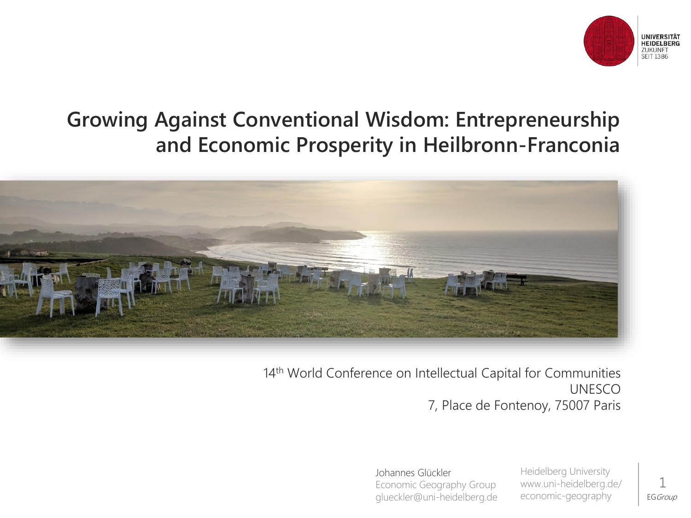

#### **Growing Against Conventional Wisdom: Entrepreneurship and Economic Prosperity in Heilbronn-Franconia**



14<sup>th</sup> World Conference on Intellectual Capital for Communities UNESCO 7, Place de Fontenoy, 75007 Paris

> Johannes Glückler Economic Geography Group glueckler@uni-heidelberg.de

Heidelberg University www.uni-heidelberg.de/ economic-geography

EG Group 1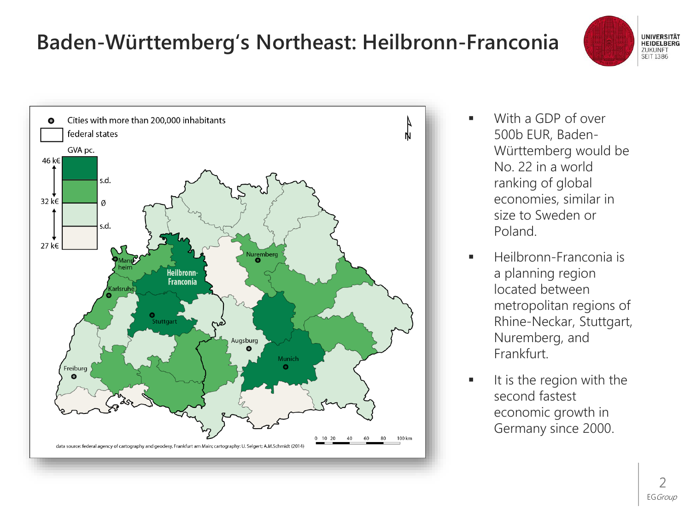## **Baden-Württemberg's Northeast: Heilbronn-Franconia**





- With a GDP of over 500b EUR, Baden-Württemberg would be No. 22 in a world ranking of global economies, similar in size to Sweden or Poland.
- Heilbronn-Franconia is a planning region located between metropolitan regions of Rhine-Neckar, Stuttgart, Nuremberg, and Frankfurt.
- It is the region with the second fastest economic growth in Germany since 2000.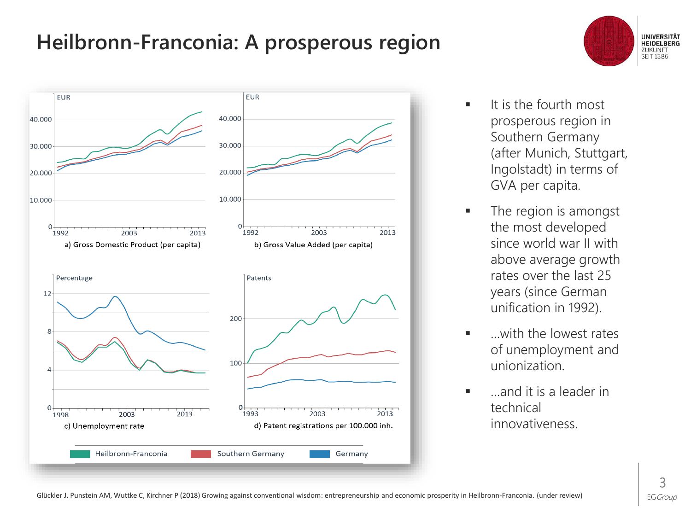## **Heilbronn-Franconia: A prosperous region**



- **UNIVERSITÄT HEIDELBERG** ZUKUNFT **SEIT 1386**
- **■** It is the fourth most prosperous region in Southern Germany (after Munich, Stuttgart, Ingolstadt) in terms of GVA per capita.
- The region is amongst the most developed since world war II with above average growth rates over the last 25 years (since German unification in 1992).
- with the lowest rates of unemployment and unionization.
- …and it is a leader in technical innovativeness.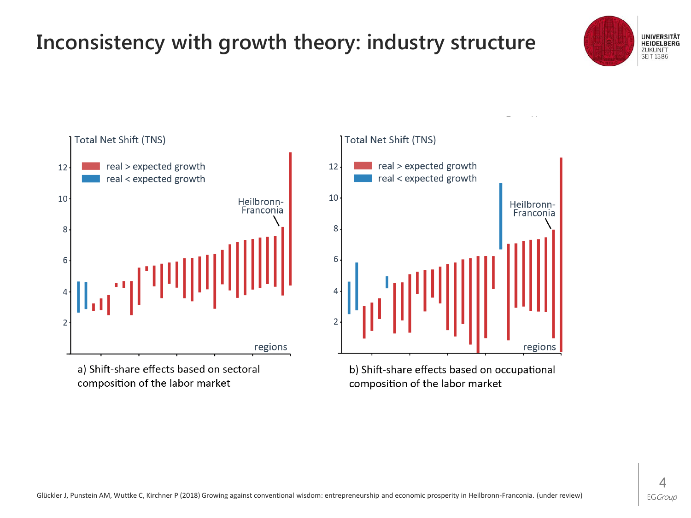# **Inconsistency with growth theory: industry structure**





a) Shift-share effects based on sectoral composition of the labor market



b) Shift-share effects based on occupational composition of the labor market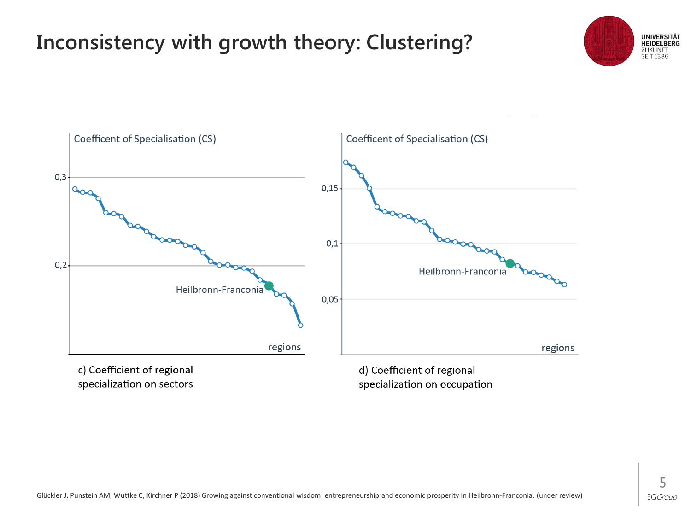## **Inconsistency with growth theory: Clustering?**





specialization on sectors

specialization on occupation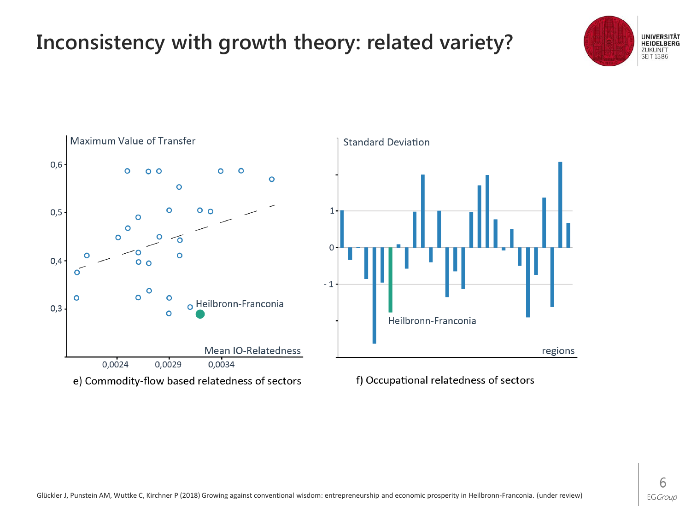## **Inconsistency with growth theory: related variety?**



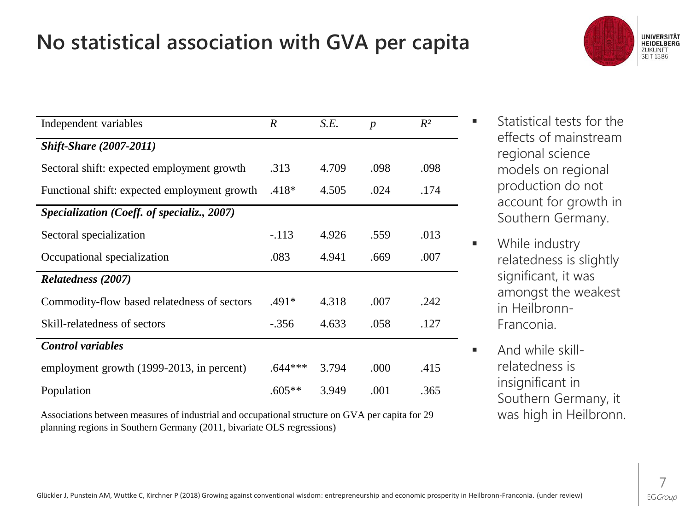## **No statistical association with GVA per capita**



| Independent variables                        | $\boldsymbol{R}$ | S.E.  | $\boldsymbol{p}$ | $R^2$ |  |
|----------------------------------------------|------------------|-------|------------------|-------|--|
| <b>Shift-Share (2007-2011)</b>               |                  |       |                  |       |  |
| Sectoral shift: expected employment growth   | .313             | 4.709 | .098             | .098  |  |
| Functional shift: expected employment growth | $.418*$          | 4.505 | .024             | .174  |  |
| Specialization (Coeff. of specializ., 2007)  |                  |       |                  |       |  |
| Sectoral specialization                      | $-.113$          | 4.926 | .559             | .013  |  |
| Occupational specialization                  | .083             | 4.941 | .669             | .007  |  |
| Relatedness (2007)                           |                  |       |                  |       |  |
| Commodity-flow based relatedness of sectors  | $.491*$          | 4.318 | .007             | .242  |  |
| Skill-relatedness of sectors                 | $-.356$          | 4.633 | .058             | .127  |  |
| <b>Control</b> variables                     |                  |       |                  |       |  |
| employment growth (1999-2013, in percent)    | $.644***$        | 3.794 | .000             | .415  |  |
| Population                                   | $.605**$         | 3.949 | .001             | .365  |  |

Associations between measures of industrial and occupational structure on GVA per capita for 29 planning regions in Southern Germany (2011, bivariate OLS regressions)

- **■** Statistical tests for the effects of mainstream regional science models on regional production do not account for growth in Southern Germany.
- While industry relatedness is slightly significant, it was amongst the weakest in Heilbronn-Franconia.
- **E** And while skillrelatedness is insignificant in Southern Germany, it was high in Heilbronn.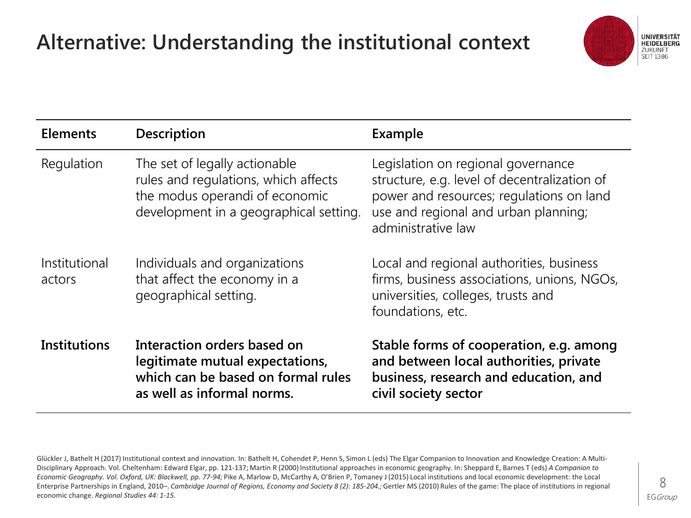# **Alternative: Understanding the institutional context**



| <b>Elements</b>         | Description                                                                                                                                       | Example                                                                                                                                                                                      |
|-------------------------|---------------------------------------------------------------------------------------------------------------------------------------------------|----------------------------------------------------------------------------------------------------------------------------------------------------------------------------------------------|
| Regulation              | The set of legally actionable<br>rules and regulations, which affects<br>the modus operandi of economic<br>development in a geographical setting. | Legislation on regional governance<br>structure, e.g. level of decentralization of<br>power and resources; regulations on land<br>use and regional and urban planning;<br>administrative law |
| Institutional<br>actors | Individuals and organizations<br>that affect the economy in a<br>geographical setting.                                                            | Local and regional authorities, business<br>firms, business associations, unions, NGOs,<br>universities, colleges, trusts and<br>foundations, etc.                                           |
| <b>Institutions</b>     | Interaction orders based on<br>legitimate mutual expectations,<br>which can be based on formal rules<br>as well as informal norms.                | Stable forms of cooperation, e.g. among<br>and between local authorities, private<br>business, research and education, and<br>civil society sector                                           |

Glückler J, Bathelt H (2017) Institutional context and innovation. In: Bathelt H, Cohendet P, Henn S, Simon L (eds) The Elgar Companion to Innovation and Knowledge Creation: A Multi-Disciplinary Approach. Vol. Cheltenham: Edward Elgar, pp. 121-137; Martin R (2000) Institutional approaches in economic geography. In: Sheppard E, Barnes T (eds) *A Companion to*  Economic Geography. Vol. Oxford, UK: Blackwell, pp. 77-94; Pike A, Marlow D, McCarthy A, O'Brien P, Tomaney J (2015) Local institutions and local economic development: the Local Enterprise Partnerships in England, 2010–. *Cambridge Journal of Regions, Economy and Society 8 (2): 185-204.;* Gertler MS (2010) Rules of the game: The place of institutions in regional economic change. *Regional Studies 44: 1-15.*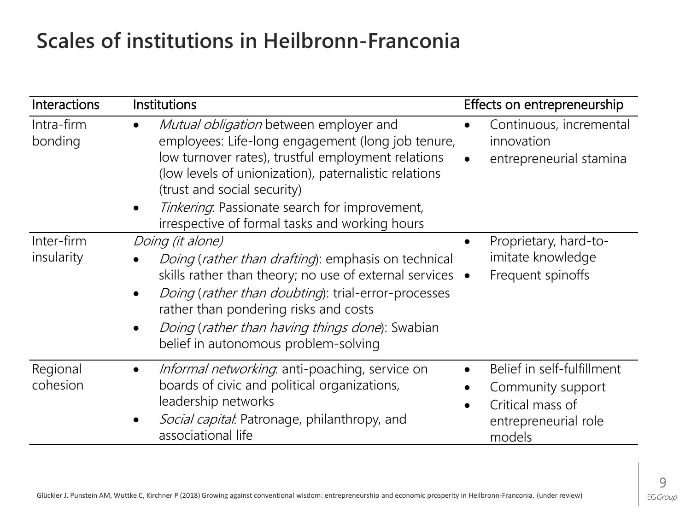#### **Scales of institutions in Heilbronn-Franconia**

| <b>Interactions</b>      | Institutions                                                                                                                                                                                                                                                                                                                                   | Effects on entrepreneurship                                                                           |
|--------------------------|------------------------------------------------------------------------------------------------------------------------------------------------------------------------------------------------------------------------------------------------------------------------------------------------------------------------------------------------|-------------------------------------------------------------------------------------------------------|
| Intra-firm<br>bonding    | Mutual obligation between employer and<br>employees: Life-long engagement (long job tenure,<br>low turnover rates), trustful employment relations<br>(low levels of unionization), paternalistic relations<br>(trust and social security)<br>Tinkering. Passionate search for improvement,<br>irrespective of formal tasks and working hours   | Continuous, incremental<br>innovation<br>entrepreneurial stamina                                      |
| Inter-firm<br>insularity | Doing (it alone)<br><i>Doing (rather than drafting)</i> : emphasis on technical<br>skills rather than theory; no use of external services $\bullet$<br>Doing (rather than doubting): trial-error-processes<br>rather than pondering risks and costs<br>Doing (rather than having things done): Swabian<br>belief in autonomous problem-solving | Proprietary, hard-to-<br>imitate knowledge<br>Frequent spinoffs                                       |
| Regional<br>cohesion     | <i>Informal networking</i> anti-poaching, service on<br>boards of civic and political organizations,<br>leadership networks<br>Social capital. Patronage, philanthropy, and<br>associational life                                                                                                                                              | Belief in self-fulfillment<br>Community support<br>Critical mass of<br>entrepreneurial role<br>models |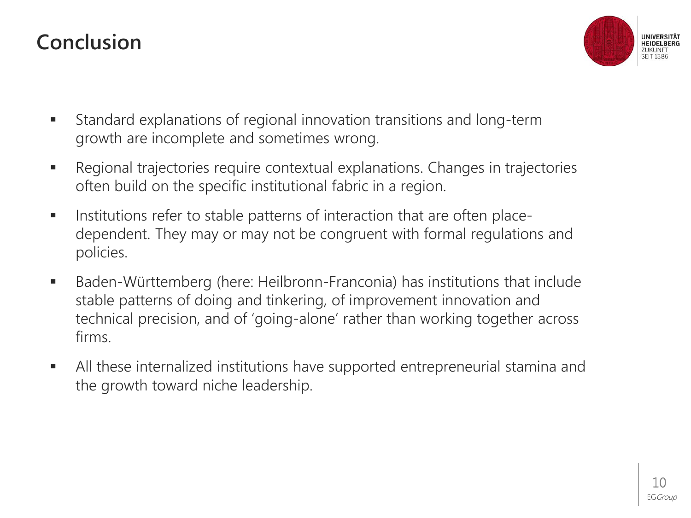### **Conclusion**



- Standard explanations of regional innovation transitions and long-term growth are incomplete and sometimes wrong.
- Regional trajectories require contextual explanations. Changes in trajectories often build on the specific institutional fabric in a region.
- Institutions refer to stable patterns of interaction that are often placedependent. They may or may not be congruent with formal regulations and policies.
- Baden-Württemberg (here: Heilbronn-Franconia) has institutions that include stable patterns of doing and tinkering, of improvement innovation and technical precision, and of 'going-alone' rather than working together across firms.
- **EXEL All these internalized institutions have supported entrepreneurial stamina and** the growth toward niche leadership.